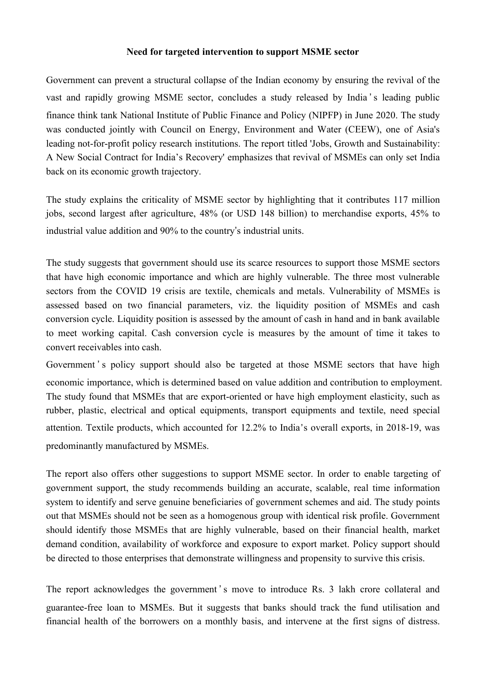### **Need for targeted intervention tosupport MSME sector**

Government can prevent a structural collapse of the Indian economy by ensuring the revival of the vast and rapidly growing MSME sector, concludes a study released by India's leading public finance think tank National Institute of Public Finance and Policy (NIPFP) in June 2020. The study was conducted jointly with Council on Energy, Environment and Water (CEEW), one of Asia's leading not-for-profit policy research institutions. The report titled 'Jobs, Growth and Sustainability: A New Social Contract for India's Recovery' emphasizes that revival of MSMEs can only set India back on its economic growth trajectory.

The study explains the criticality of MSME sector by highlighting that it contributes 117 million jobs, second largest after agriculture, 48% (or USD 148 billion) to merchandise exports, 45% to industrial value addition and 90% to the country's industrial units.

The study suggests that government should use its scarce resources to support those MSME sectors that have high economic importance and which are highly vulnerable. The three most vulnerable sectors from the COVID 19 crisis are textile, chemicals and metals. Vulnerability of MSMEs is assessed based on two financial parameters, viz. the liquidity position of MSMEs and cash conversion cycle. Liquidity position is assessed by the amount of cash in hand and in bank available to meet working capital. Cash conversion cycle is measures by the amount of time it takes to convert receivables into cash.

Government's policy support should also be targeted at those MSME sectors that have high economic importance, which is determined based on value addition and contribution to employment. The study found that MSMEs that are export-oriented or have high employment elasticity, such as rubber, plastic, electrical and optical equipments, transport equipments and textile, need special attention. Textile products, which accounted for 12.2% to India's overall exports, in 2018-19, was predominantly manufactured by MSMEs.

The report also offers other suggestions to support MSME sector. In order to enable targeting of government support, the study recommends building an accurate, scalable, real time information system to identify and serve genuine beneficiaries of government schemes and aid. The study points out that MSMEs should not be seen as a homogenous group with identical risk profile. Government should identify those MSMEs that are highly vulnerable, based on their financial health, market demand condition, availability of workforce and exposure to export market. Policy support should be directed to those enterprises that demonstrate willingness and propensity to survive this crisis.<br>The report acknowledges the government ' s move to introduce Rs. 3 lakh crore collateral and

guarantee-free loan to MSMEs. But it suggests that banks should track the fund utilisation and financial health of the borrowers on a monthly basis, and intervene at the first signs of distress.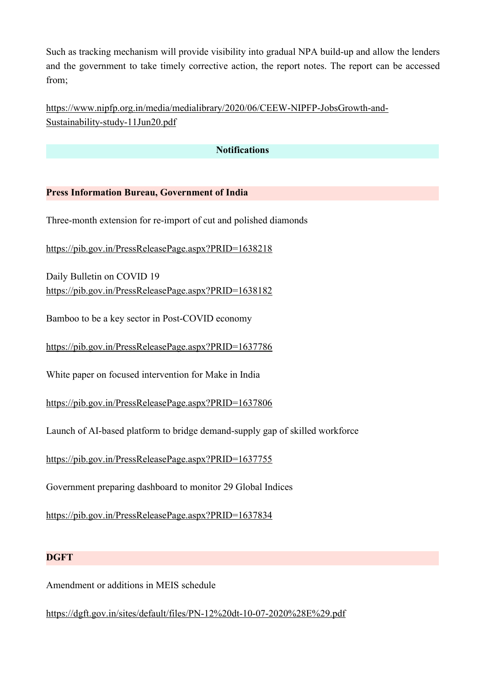Such as tracking mechanism will provide visibility into gradual NPA build-up and allow the lenders and the government to take timely corrective action, the report notes. The report can be accessed from;

[https://www.nipfp.org.in/media/medialibrary/2020/06/CEEW-NIPFP-JobsGrowth-and-](https://www.nipfp.org.in/media/medialibrary/2020/06/CEEW-NIPFP-JobsGrowth-and-Sustainability-study-11Jun20.pdf) Sustainability-study-11Jun20.pdf

# **Notifications**

## **Press Information Bureau, Government of India**

Three-month extension for re-import of cut and polished diamonds

<https://pib.gov.in/PressReleasePage.aspx?PRID=1638218>

Daily Bulletin on COVID 19 <https://pib.gov.in/PressReleasePage.aspx?PRID=1638182>

Bamboo to be a key sector in Post-COVID economy

<https://pib.gov.in/PressReleasePage.aspx?PRID=1637786>

White paper on focused intervention for Make in India

<https://pib.gov.in/PressReleasePage.aspx?PRID=1637806>

Launch of AI-based platform to bridge demand-supply gap of skilled workforce

<https://pib.gov.in/PressReleasePage.aspx?PRID=1637755>

Government preparing dashboard to monitor 29 Global Indices

<https://pib.gov.in/PressReleasePage.aspx?PRID=1637834>

### **DGFT**

Amendment or additions in MEIS schedule

<https://dgft.gov.in/sites/default/files/PN-12%20dt-10-07-2020%28E%29.pdf>